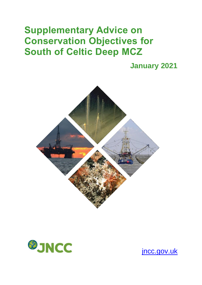# **Supplementary Advice on Conservation Objectives for South of Celtic Deep MCZ**

**January 2021**





[jncc.gov.uk](https://jncc.gov.uk/)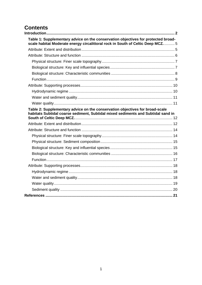# **Contents**

| Table 1: Supplementary advice on the conservation objectives for protected broad-<br>scale habitat Moderate energy circalittoral rock in South of Celtic Deep MCZ5 |  |
|--------------------------------------------------------------------------------------------------------------------------------------------------------------------|--|
|                                                                                                                                                                    |  |
|                                                                                                                                                                    |  |
|                                                                                                                                                                    |  |
|                                                                                                                                                                    |  |
|                                                                                                                                                                    |  |
|                                                                                                                                                                    |  |
|                                                                                                                                                                    |  |
|                                                                                                                                                                    |  |
|                                                                                                                                                                    |  |
|                                                                                                                                                                    |  |
| Table 2: Supplementary advice on the conservation objectives for broad-scale<br>habitats Subtidal coarse sediment, Subtidal mixed sediments and Subtidal sand in   |  |
|                                                                                                                                                                    |  |
|                                                                                                                                                                    |  |
|                                                                                                                                                                    |  |
|                                                                                                                                                                    |  |
|                                                                                                                                                                    |  |
|                                                                                                                                                                    |  |
|                                                                                                                                                                    |  |
|                                                                                                                                                                    |  |
|                                                                                                                                                                    |  |
|                                                                                                                                                                    |  |
|                                                                                                                                                                    |  |
|                                                                                                                                                                    |  |
|                                                                                                                                                                    |  |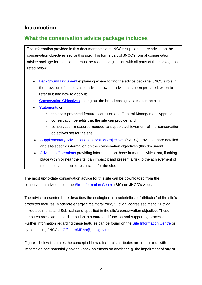# <span id="page-2-0"></span>**Introduction**

# **What the conservation advice package includes**

The information provided in this document sets out JNCC's supplementary advice on the conservation objectives set for this site. This forms part of JNCC's formal conservation advice package for the site and must be read in conjunction with all parts of the package as listed below:

- [Background](https://hub.jncc.gov.uk/assets/136727b6-5fb7-4a08-94bc-b6de37aecb19#SouthOfCelticDeep-Background-V1.0.pdf) Document explaining where to find the advice package, JNCC's role in the provision of conservation advice, how the advice has been prepared, when to refer to it and how to apply it;
- [Conservation Objectives](https://hub.jncc.gov.uk/assets/136727b6-5fb7-4a08-94bc-b6de37aecb19#SouthOfCelticDeep-ConservationObjectives-V1.0.pdf) setting out the broad ecological aims for the site;
- **[Statements](https://hub.jncc.gov.uk/assets/136727b6-5fb7-4a08-94bc-b6de37aecb19#SouthOfCelticDeep-ConservationStatements-V1.0.pdf) on:** 
	- $\circ$  the site's protected features condition and General Management Approach;
	- o conservation benefits that the site can provide; and
	- $\circ$  conservation measures needed to support achievement of the conservation objectives set for the site.
- [Supplementary Advice on Conservation Objectives](https://hub.jncc.gov.uk/assets/136727b6-5fb7-4a08-94bc-b6de37aecb19#SouthOfCelticDeep-SACO-V1.0.pdf) (SACO) providing more detailed and site-specific information on the conservation objectives (this document);
- [Advice on Operations](https://hub.jncc.gov.uk/assets/136727b6-5fb7-4a08-94bc-b6de37aecb19#SouthOfCelticDeep-AdviceOnOperations-V1.0.xlsx) providing information on those human activities that, if taking place within or near the site, can impact it and present a risk to the achievement of the conservation objectives stated for the site.

The most up-to-date conservation advice for this site can be downloaded from the conservation advice tab in the [Site Information Centre](https://jncc.gov.uk/our-work/south-of-celtic-deep-mpa) (SIC) on JNCC's website.

The advice presented here describes the ecological characteristics or 'attributes' of the site's protected features: Moderate energy circalittoral rock, Subtidal coarse sediment, Subtidal mixed sediments and Subtidal sand specified in the site's conservation objective. These attributes are: extent and distribution, structure and function and supporting processes. Further information regarding these features can be found on the [Site Information Centre](https://jncc.gov.uk/our-work/south-of-celtic-deep-mpa) or by contacting JNCC at [OffshoreMPAs@jncc.gov.uk.](mailto:OffshoreMPAs@jncc.gov.uk)

Figure 1 below illustrates the concept of how a feature's attributes are interlinked: with impacts on one potentially having knock-on effects on another e.g. the impairment of any of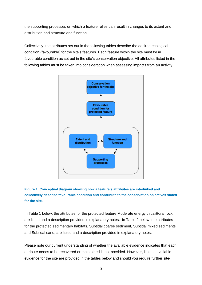the supporting processes on which a feature relies can result in changes to its extent and distribution and structure and function.

Collectively, the attributes set out in the following tables describe the desired ecological condition (favourable) for the site's features. Each feature within the site must be in favourable condition as set out in the site's conservation objective. All attributes listed in the following tables must be taken into consideration when assessing impacts from an activity.



# **Figure 1. Conceptual diagram showing how a feature's attributes are interlinked and collectively describe favourable condition and contribute to the conservation objectives stated for the site.**

In [Table 1](#page-5-0) below, the attributes for the protected feature Moderate energy circalittoral rock are listed and a description provided in explanatory notes. In Table 2 below, the attributes for the protected sedimentary habitats, Subtidal coarse sediment, Subtidal mixed sediments and Subtidal sand, are listed and a description provided in explanatory notes.

Please note our current understanding of whether the available evidence indicates that each attribute needs to be recovered or maintained is not provided. However, links to available evidence for the site are provided in the tables below and should you require further site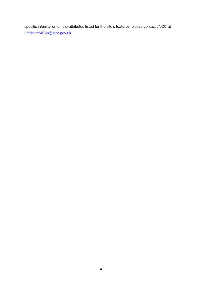specific information on the attributes listed for the site's features, please contact JNCC at [OffshoreMPAs@jncc.gov.uk.](mailto:OffshoreMPAs@jncc.gov.uk)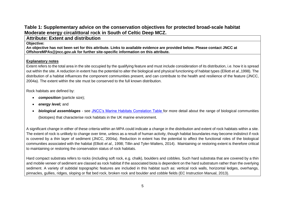# **Table 1: Supplementary advice on the conservation objectives for protected broad-scale habitat Moderate energy circalittoral rock in South of Celtic Deep MCZ.**

**Attribute: Extent and distribution**

**Objective: An objective has not been set for this attribute. Links to available evidence are provided below. Please contact JNCC at [OffshoreMPAs@jncc.gov.uk](mailto:OffshoreMPAs@jncc.gov.uk) for further site-specific information on this attribute.**

# **Explanatory notes**

Extent refers to the total area in the site occupied by the qualifying feature and must include consideration of its distribution, i.e. how it is spread out within the site. A reduction in extent has the potential to alter the biological and physical functioning of habitat types (Elliott *et al.,*1998). The distribution of a habitat influences the component communities present, and can contribute to the health and resilience of the feature (JNCC, 2004a). The extent within the site must be conserved to the full known distribution.

Rock habitats are defined by:

- *composition* (particle size);
- *energy level;* and
- <span id="page-5-0"></span>• *biological assemblages* - see [JNCC's Marine Habitats Correlation Table](https://hub.jncc.gov.uk/assets/62a16757-e0d1-4a29-a98e-948745804aec) for more detail about the range of biological communities (biotopes) that characterise rock habitats in the UK marine environment.

<span id="page-5-1"></span>A significant change in either of these criteria within an MPA could indicate a change in the distribution and extent of rock habitats within a site. The extent of rock is unlikely to change over time, unless as a result of human activity, though habitat boundaries may become indistinct if rock is covered by a thin layer of sediment (JNCC, 2004a). Reduction in extent has the potential to affect the functional roles of the biological communities associated with the habitat (Elliott *et al.,* 1998; Tillin and Tyler-Walters, 2014). Maintaining or restoring extent is therefore critical to maintaining or restoring the conservation status of rock habitats.

Hard compact substrata refers to rocks (including soft rock, e.g. chalk), boulders and cobbles. Such hard substrata that are covered by a thin and mobile veneer of sediment are classed as rock habitat if the associated biota is dependent on the hard substratum rather than the overlying sediment. A variety of subtidal topographic features are included in this habitat such as: vertical rock walls, horizontal ledges, overhangs, pinnacles, gullies, ridges, sloping or flat bed rock, broken rock and boulder and cobble fields (EC Instruction Manual, 2013).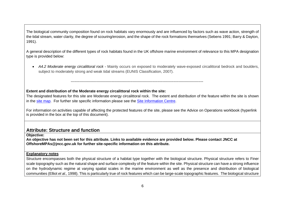The biological community composition found on rock habitats vary enormously and are influenced by factors such as wave action, strength of the tidal stream, water clarity, the degree of scouring/erosion, and the shape of the rock formations themselves (Sebens 1991; Barry & Dayton, 1991).

A general description of the different types of rock habitats found in the UK offshore marine environment of relevance to this MPA designation type is provided below:

• *A4.2 Moderate energy circalittoral rock* - Mainly occurs on exposed to moderately wave-exposed circalittoral bedrock and boulders, subject to moderately strong and weak tidal streams (EUNIS Classification, 2007).

# **Extent and distribution of the Moderate energy circalittoral rock within the site:**

-----------------------------------------------------------------------------------------------------------

The designated features for this site are Moderate energy circalittoral rock. The extent and distribution of the feature within the site is shown in the [site map.](https://jncc.gov.uk/mpa-mapper/?zoom=11¢er=-6.640,50.906&layerIds=43,44,45,46,71,78,67,74,55,56&baseLayerId=-2&activeFilters=) For further site specific information please see the [Site Information Centre.](https://jncc.gov.uk/our-work/south-of-celtic-deep-mpa)

For information on activities capable of affecting the protected features of the site, please see the Advice on Operations workbook (hyperlink is provided in the box at the top of this document).

# **Attribute: Structure and function**

**Objective:** 

**An objective has not been set for this attribute. Links to available evidence are provided below. Please contact JNCC at [OffshoreMPAs@jncc.gov.uk](mailto:OffshoreMPAs@jncc.gov.uk) for further site-specific information on this attribute.**

# **Explanatory notes**

<span id="page-6-0"></span>Structure encompasses both the physical structure of a habitat type together with the biological structure. Physical structure refers to [Finer](#page-7-2)  [scale topography s](#page-7-2)uch as the natural shape and surface complexity of the feature within the site. Physical structure can have a strong influence on the hydrodynamic regime at varying spatial scales in the marine environment as well as the presence and distribution of biological communities (Elliot *et al.,* 1998). This is particularly true of rock features which can be large-scale topographic features. The biological structure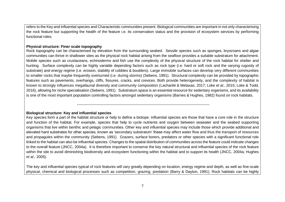refers to th[e Key and influential species](#page-7-3) an[d Characteristic communities](#page-8-1) present. Biological communities are important in not only characterising the rock feature but supporting the health of the feature i.e. its conservation status and the provision of ecosystem services by performing functional roles.

#### <span id="page-7-2"></span>**Physical structure: Finer scale topography**

Rock topography can be characterised by elevation from the surrounding seabed. Sessile species such as sponges, bryozoans and algae communities can thrive in shallower sites as the physical rock habitat arising from the seafloor provides a suitable substratum for attachment. Mobile species such as crustaceans, echinoderms and fish use the complexity of the physical structure of the rock habitat for shelter and hunting. Surface complexity can be highly variable depending factors such as rock type (i.e. hard or soft rock and the varying rugosity of substrate) and energy regime (i.e. erosion, stability of cobbles & boulders). Large immobile surfaces can develop very different communities to smaller rocks that maybe frequently overturned (i.e. during storms) (Sebens, 1991). Structural complexity can be provided by topographic features such as pavements, overhangs, cliffs, fissures, cracks, and crevices. Both provide heterogeneity, and the complexity of habitat is known to strongly influences megafaunal diversity and community composition [\(Lacharité](http://www.sciencedirect.com/science/article/pii/S0967063716303685#!) & Metaxas, 2017; Loke *et al.,* 2015; Loke & Todd*,* 2016), allowing for niche specialisation (Sebens, 1991). Substratum space is an essential resource for sedentary organisms, and its availability is one of the most important population controlling factors amongst sedentary organisms (Barnes & Hughes, 1982) found on rock habitats.

-----------------------------------------------------------------------------------------------------------

## <span id="page-7-3"></span>**Biological structure: Key and influential species**

<span id="page-7-0"></span>Key species form a part of the habitat structure or help to define a biotope. Influential species are those that have a core role in the structure and function of the habitat. For example, species that help to cycle nutrients and oxygen between seawater and the seabed supporting organisms that live within benthic and pelagic communities. Other key and influential species may include those which provide additional and elevated hard substrates for other species, known as 'secondary substratum' these may affect water flow and thus the transport of resources and propagules within the community (Sebens, 1991). Grazers, surface borers, predators or other species with a significant functional role linked to the habitat can also be influential species. Changes to the spatial distribution of communities across the feature could indicate changes to the overall feature (JNCC, 2004a). It is therefore important to conserve the key natural structural and influential species of the rock feature within the site to avoid diminishing biodiversity and ecosystem functioning within the habitat and to support its health (JNCC, 2004a; Hughes *et al.,* 2005).

<span id="page-7-1"></span>The key and influential species typical of rock features will vary greatly depending on location, energy regime and depth, as well as fine-scale physical, chemical and biological processes such as competition, grazing, predation (Barry & Dayton, 1991). Rock habitats can be highly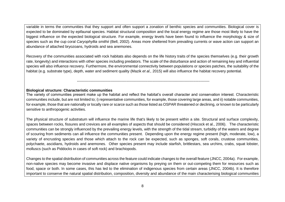variable in terms the communities that they support and often support a zonation of benthic species and communities. Biological cover is expected to be dominated by epifaunal species. Habitat structural composition and the local energy regime are those most likely to have the biggest influence on the expected biological structure. For example, energy levels have been found to influence the morphology & size of species such as the cup coral *Caryophyllia smithii* (Bell, 2002). Areas more sheltered from prevailing currents or wave action can support an abundance of attached bryozoans, hydroids and sea anemones.

Recovery of the communities associated with rock habitats also depends on the life history traits of the species themselves (e.g. their growth rate, longevity) and interactions with other species including predators. The scale of the disturbance and action of remaining key and influential species will also influence recovery. Furthermore, the environmental connectivity between populations or species patches, the suitability of the habitat (e.g. substrate type), depth, water and sediment quality (Mazik *et al.,* 2015) will also influence the habitat recovery potential.

-----------------------------------------------------------------------------------------------------------

## <span id="page-8-1"></span>**Biological structure: Characteristic communities**

The variety of communities present make up the habitat and reflect the habitat's overall character and conservation interest. Characteristic communities include, but are not limited to; i) representative communities, for example, those covering large areas, and ii) notable communities, for example, those that are nationally or locally rare or scarce such as those listed as OSPAR threatened or declining, or known to be particularly sensitive to anthropogenic activities.

The physical structure of substratum will influence the marine life that's likely to be present within a site. Structural and surface complexity, spaces between rocks, fissures and crevices are all examples of aspects that should be considered (Hiscock et al., 2006). The characteristic communities can be strongly influenced by the prevailing energy levels, with the strength of the tidal stream, turbidity of the waters and degree of scouring from sediments can all influence the communities present. Depending upon the energy regime present (high, moderate, low), a variety of encrusting species and those which attach to the rock can be expected, such as sponges, soft corals, crustose communities, polychaete, ascidians, hydroids and anemones. Other species present may include starfish, brittlestars, sea urchins, crabs, squat lobster, molluscs (such as Piddocks in cases of soft rock) and brachiopods.

<span id="page-8-0"></span>Changes to the spatial distribution of communities across the feature could indicate changes to the overall feature (JNCC, 2004a). For example, non-native species may become invasive and displace native organisms by preying on them or out-competing them for resources such as food, space or both. In some cases, this has led to the elimination of indigenous species from certain areas (JNCC, 2004b). It is therefore important to conserve the natural spatial distribution, composition, diversity and abundance of the main characterising biological communities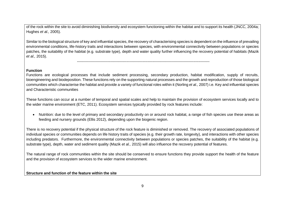of the rock within the site to avoid diminishing biodiversity and ecosystem functioning within the habitat and to support its health (JNCC, 2004a; Hughes *et al.,* 2005).

Similar to the biological structure of key and influential species, the recovery of characterising species is dependent on the influence of prevailing environmental conditions, life-history traits and interactions between species, with environmental connectivity between populations or species patches, the suitability of the habitat (e.g. substrate type), depth and water quality further influencing the recovery potential of habitats (Mazik *et al.,* 2015).

-----------------------------------------------------------------------------------------------------------

## **Function**

Functions are ecological processes that include sediment processing, secondary production, habitat modification, supply of recruits, bioengineering and biodeposition. These functions rely on the supporting natural processes and the growth and reproduction of those biological communities which characterise the habitat and provide a variety of functional roles within it (Norling *et al.,* 2007) i.e[. Key and influential species](#page-7-3) and [Characteristic communities](#page-8-1)

These functions can occur at a number of temporal and spatial scales and help to maintain the provision of ecosystem services locally and to the wider marine environment (ETC, 2011). Ecosystem services typically provided by rock features include:

• Nutrition: due to the level of primary and secondary productivity on or around rock habitat, a range of fish species use these areas as feeding and nursery grounds (Ellis 2012), depending upon the biogenic region.

There is no recovery potential if the physical structure of the rock feature is diminished or removed. The recovery of associated populations of individual species or communities depends on life history traits of species (e.g. their growth rate, longevity), and interactions with other species including predators. Furthermore, the environmental connectivity between populations or species patches, the suitability of the habitat (e.g. substrate type), depth, water and sediment quality (Mazik *et al.,* 2015) will also influence the recovery potential of features.

<span id="page-9-0"></span>The natural range of rock communities within the site should be conserved to ensure functions they provide support the health of the feature and the provision of ecosystem services to the wider marine environment.

# **Structure and function of the feature within the site**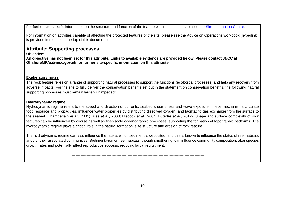For further site-specific information on the structure and function of the feature within the site, please see the [Site Information Centre.](https://jncc.gov.uk/our-work/south-of-celtic-deep-mpa)

For information on activities capable of affecting the protected features of the site, please see the Advice on Operations workbook (hyperlink is provided in the box at the top of this document).

# **Attribute: Supporting processes**

**Objective:** 

**An objective has not been set for this attribute. Links to available evidence are provided below. Please contact JNCC at [OffshoreMPAs@jncc.gov.uk](mailto:OffshoreMPAs@jncc.gov.uk) for further site-specific information on this attribute.**

# **Explanatory notes**

The rock feature relies on a range of supporting natural processes to support the functions (ecological processes) and help any recovery from adverse impacts. For the site to fully deliver the conservation benefits set out in the statement on conservation benefits, the following natural supporting processes must remain largely unimpeded:

# **Hydrodynamic regime**

Hydrodynamic regime refers to the speed and direction of currents, seabed shear stress and wave exposure. These mechanisms circulate food resource and propagules, influence water properties by distributing dissolved oxygen, and facilitating gas exchange from the surface to the seabed (Chamberlain *et al.,* 2001; Biles *et al.,* 2003; Hiscock *et al.,* 2004; Dutertre *et al.,* 2012). Shape and surface complexity of rock features can be influenced by coarse as well as finer-scale oceanographic processes, supporting the formation of topographic bedforms. The hydrodynamic regime plays a critical role in the natural formation, size structure and erosion of rock feature.

<span id="page-10-0"></span>The hydrodynamic regime can also influence the rate at which sediment is deposited, and this is known to influence the status of reef habitats and / or their associated communities. Sedimentation on reef habitats, though smothering, can influence community composition, alter species growth rates and potentially affect reproductive success, reducing larval recruitment.

<span id="page-10-1"></span>-----------------------------------------------------------------------------------------------------------

10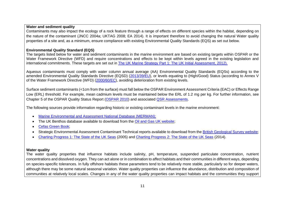# **Water and sediment quality**

Contaminants may also impact the ecology of a rock feature through a range of effects on different species within the habitat, depending on the nature of the contaminant (JNCC 2004a; UKTAG 2008; EA 2014). It is important therefore to avoid changing the natural [Water quality](#page-11-2) properties of a site and, as a minimum, ensure compliance with existing Environmental Quality Standards (EQS) as set out below.

# **Environmental Quality Standard (EQS)**

The targets listed below for water and sediment contaminants in the marine environment are based on existing targets within OSPAR or the Water Framework Directive (WFD) and require concentrations and effects to be kept within levels agreed in the existing legislation and international commitments. These targets are set out in [The UK Marine Strategy Part 1: The UK Initial Assessment,](https://www.gov.uk/government/uploads/system/uploads/attachment_data/file/69632/pb13860-marine-strategy-part1-20121220.pdf) 2012).

Aqueous contaminants must comply with water column annual average (AA) Environmental Quality Standards (EQSs) according to the amended Environmental Quality Standards Directive (EQSD) [\(2013/39/EU\)](http://eur-lex.europa.eu/LexUriServ/LexUriServ.do?uri=OJ:L:2013:226:0001:0017:EN:PDF), or levels equating to (High/Good) Status (according to Annex V of the Water Framework Directive (WFD) [\(2000/60/EC\)](http://eur-lex.europa.eu/legal-content/EN/TXT/?uri=CELEX:02000L0060-20141120), avoiding deterioration from existing levels.

Surface sediment contaminants (<1cm from the surface) must fall below the OSPAR Environment Assessment Criteria (EAC) or Effects Range Low (ERL) threshold. For example, mean cadmium levels must be maintained below the ERL of 1.2 mg per kg. For further information, see Chapter 5 of the OSPAR Quality Status Report [\(OSPAR 2010\)](http://qsr2010.ospar.org/en/index.html) and associated [QSR Assessments.](http://qsr2010.ospar.org/media/assessments/p00390_2009_CEMP_assessment_report.pdf)

<span id="page-11-0"></span>The following sources provide information regarding historic or existing contaminant levels in the marine environment:

- [Marine Environmental and Assessment National Database \(MERMAN\);](http://www.bodc.ac.uk/projects/uk/merman/project_overview/)
- The UK Benthos database available to download from the Oil and Gas UK website:
- Cefas Green Book:
- Strategic Environmental Assessment Contaminant Technical reports available to download from the British Geological Survey website:
- [Charting Progress 1: The State of the UK Seas](http://webarchive.nationalarchives.gov.uk/20141203174606/http:/chartingprogress.defra.gov.uk/charting-progress2005) (2005) and [Charting Progress 2: The State of the UK Seas](http://webarchive.nationalarchives.gov.uk/20141203170558/http:/chartingprogress.defra.gov.uk/) (2014).

# <span id="page-11-2"></span>**Water quality**

<span id="page-11-1"></span>The water quality properties that influence habitats include salinity, pH, temperature, suspended particulate concentration, nutrient concentrations and dissolved oxygen. They can act alone or in combination to affect habitats and their communities in different ways, depending on species-specific tolerances. In fully offshore habitats these parameters tend to be relatively more stable, particularly so for deeper waters, although there may be some natural seasonal variation. Water quality properties can influence the abundance, distribution and composition of communities at relatively local scales. Changes in any of the water quality properties can impact habitats and the communities they support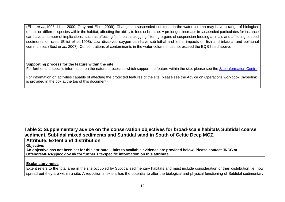(Elliot *et al.,*1998; Little, 2000; Gray and Elliot, 2009). Changes in suspended sediment in the water column may have a range of biological effects on different species within the habitat; affecting the ability to feed or breathe. A prolonged increase in suspended particulates for instance can have a number of implications, such as affecting fish health, clogging filtering organs of suspension feeding animals and affecting seabed sedimentation rates (Elliot *et al.,*1998). Low dissolved oxygen can have sub-lethal and lethal impacts on fish and infaunal and epifaunal communities (Best *et al.,* 2007). Concentrations of contaminants in the water column must not exceed the EQS listed above.

## **Supporting process for the feature within the site**

For further site-specific information on the natural processes which support the feature within the site, please see the [Site Information Centre.](https://jncc.gov.uk/our-work/south-of-celtic-deep-mpa)

-----------------------------------------------------------------------------------------------------------

For information on activities capable of affecting the protected features of the site, please see the Advice on Operations workbook (hyperlink is provided in the box at the top of this document).

# **Table 2: Supplementary advice on the conservation objectives for broad-scale habitats Subtidal coarse sediment, Subtidal mixed sediments and Subtidal sand in South of Celtic Deep MCZ.**

# **Attribute: Extent and distribution**

**Objective:** 

**An objective has not been set for this attribute. Links to available evidence are provided below. Please contact JNCC at [OffshoreMPAs@jncc.gov.uk](mailto:OffshoreMPAs@jncc.gov.uk) for further site-specific information on this attribute.**

# **Explanatory notes**

<span id="page-12-1"></span><span id="page-12-0"></span>Extent refers to the total area in the site occupied by Subtidal sedimentary habitats and must include consideration of their distribution i.e. how spread out they are within a site. A reduction in extent has the potential to alter the biological and physical functioning of Subtidal sedimentary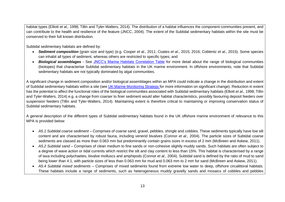habitat types (Elliott *et al.,* 1998; Tillin and Tyler-Walters, 2014). The distribution of a habitat influences the component communities present, and can contribute to the health and resilience of the feature (JNCC, 2004). The extent of the Subtidal sedimentary habitats within the site must be conserved to their full known distribution.

Subtidal sedimentary habitats are defined by:

- *Sediment composition* (grain size and type) (e.g. Cooper *et al.,* 2011; Coates *et al.,* 2015; 2016; Coblentz *et al.,* 2015). Some species can inhabit all types of sediment, whereas others are restricted to specific types; and
- *Biological assemblages* See [JNCC's Marine Habitats Correlation Table](https://hub.jncc.gov.uk/assets/62a16757-e0d1-4a29-a98e-948745804aec) for more detail about the range of biological communities (biotopes) that characterise Subtidal sedimentary habitats in the UK marine environment. In offshore environments, note that Subtidal sedimentary habitats are not typically dominated by algal communities.

A significant change in sediment composition and/or biological assemblages within an MPA could indicate a change in the distribution and extent of Subtidal sedimentary habitats within a site (see [UK Marine Monitoring Strategy](https://hub.jncc.gov.uk/assets/b15a8f81-40df-4a23-93d4-662c44d55598) for more information on significant change). Reduction in extent has the potential to affect the functional roles of the biological communities associated with Subtidal sedimentary habitats (Elliott *et al.,* 1998; Tillin and Tyler-Walters, 2014) e.g. a change from coarser to finer sediment would alter habitat characteristics, possibly favouring deposit feeders over suspension feeders (Tillin and Tyler-Walters, 2014). Maintaining extent is therefore critical to maintaining or improving conservation status of Subtidal sedimentary habitats.

A general description of the different types of Subtidal sedimentary habitats found in the UK offshore marine environment of relevance to this MPA is provided below:

- *A5.1 Subtidal coarse sediment* Comprises of coarse sand, gravel, pebbles, shingle and cobbles. These sediments typically have low silt content and are characterised by robust fauna, including venerid bivalves (Connor *et al.,* 2004). The particle sizes of Subtidal coarse sediments are classed as more than 0.063 mm but predominantly contain grains sizes in excess of 2 mm (McBreen and Askew, 2011).
- *A5.2 Subtidal sand* Comprises of clean medium to fine sands or non-cohesive slightly muddy sands. Such habitats are often subject to a degree of wave action or tidal currents which restrict the silt and clay content to less than 15%. This habitat is characterised by a range of taxa including polychaetes, bivalve molluscs and amphipods (Connor *et al.,* 2004). Subtidal sand is defined by the ratio of mud to sand being lower than 4:1, with particle sizes of less than 0.063 mm for mud and 0.063 mm to 2 mm for sand (McBreen and Askew, 2011).
- *A5.4 Subtidal mixed sediments* Comprises of mixed sediments found from extreme low water to deep, offshore circalittoral habitats. These habitats include a range of sediments, such as heterogeneous muddy gravelly sands and mosaics of cobbles and pebbles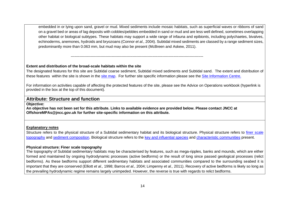embedded in or lying upon sand, gravel or mud. Mixed sediments include mosaic habitats, such as superficial waves or ribbons of sand on a gravel bed or areas of lag deposits with cobbles/pebbles embedded in sand or mud and are less well defined, sometimes overlapping other habitat or biological subtypes. These habitats may support a wide range of infauna and epibionts, including polychaetes, bivalves, echinoderms, anemones, hydroids and bryozoans (Connor *et al.,* 2004). Subtidal mixed sediments are classed by a range sediment sizes, predominantly more than 0.063 mm, but mud may also be present (McBreen and Askew, 2011).

#### **Extent and distribution of the broad-scale habitats within the site**

The designated features for this site are Subtidal coarse sediment, Subtidal mixed sediments and Subtidal sand. The extent and distribution of these features within the site is shown in the [site map.](https://jncc.gov.uk/mpa-mapper/?zoom=11¢er=-6.640,50.906&layerIds=43,44,45,46,71,78,67,74,55,56&baseLayerId=-2&activeFilters=) For further site specific information please see the [Site Information Centre.](https://jncc.gov.uk/our-work/south-of-celtic-deep-mpa)

For information on activities capable of affecting the protected features of the site, please see the Advice on Operations workbook (hyperlink is provided in the box at the top of this document).

# **Attribute: Structure and function**

**Objective:** 

**An objective has not been set for this attribute. Links to available evidence are provided below. Please contact JNCC at [OffshoreMPAs@jncc.gov.uk](mailto:OffshoreMPAs@jncc.gov.uk) for further site-specific information on this attribute.**

-----------------------------------------------------------------------------------------------------------

#### **Explanatory notes**

Structure refers to the physical structure of a Subtidal sedimentary habitat and its biological structure. Physical structure refers to finer scale [topography](#page-14-2) and [sediment composition.](#page-15-2) Biological structure refers to the [key and influential species](#page-15-3) and [characteristic communities](#page-16-1) present.

#### <span id="page-14-2"></span>**Physical structure: Finer scale topography**

<span id="page-14-1"></span><span id="page-14-0"></span>The topography of Subtidal sedimentary habitats may be characterised by features, such as mega-ripples, banks and mounds, which are either formed and maintained by ongoing hydrodynamic processes (active bedforms) or the result of long since passed geological processes (relict bedforms). As these bedforms support different sedimentary habitats and associated communities compared to the surrounding seabed it is important that they are conserved (Elliott *et al.,* 1998; Barros *et al.,* 2004; Limpenny *et al.,* 2011). Recovery of active bedforms is likely so long as the prevailing hydrodynamic regime remains largely unimpeded. However, the reverse is true with regards to relict bedforms.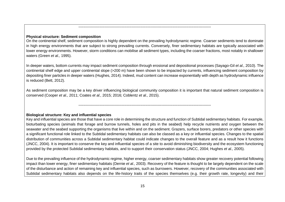# <span id="page-15-2"></span>**Physical structure: Sediment composition**

On the continental shelf, sediment composition is highly dependent on the prevailing hydrodynamic regime. Coarser sediments tend to dominate in high energy environments that are subject to strong prevailing currents. Conversely, finer sedimentary habitats are typically associated with lower energy environments. However, storm conditions can mobilise all sediment types, including the coarser fractions, most notably in shallower waters (Green *et al.,* 1995).

-----------------------------------------------------------------------------------------------------------

In deeper waters, bottom currents may impact sediment composition through erosional and depositional processes (Sayago-Gil *et al.,* 2010). The continental shelf edge and upper continental slope (>200 m) have been shown to be impacted by currents, influencing sediment composition by depositing finer particles in deeper waters (Hughes, 2014). Indeed, mud content can increase exponentially with depth as hydrodynamic influence is reduced (Bett, 2012).

As sediment composition may be a key driver influencing biological community composition it is important that natural sediment composition is conserved (Cooper *et al.,* 2011; Coates *et al.,* 2015; 2016; Coblentz *et al.,* 2015).

-----------------------------------------------------------------------------------------------------------

<span id="page-15-3"></span>**Biological structure: Key and influential species**

<span id="page-15-0"></span>Key and influential species are those that have a core role in determining the structure and function of Subtidal sedimentary habitats. For example, bioturbating species (animals that forage and burrow tunnels, holes and pits in the seabed) help recycle nutrients and oxygen between the seawater and the seabed supporting the organisms that live within and on the sediment. Grazers, surface borers, predators or other species with a significant functional role linked to the Subtidal sedimentary habitats can also be classed as a key or influential species. Changes to the spatial distribution of communities across a Subtidal sedimentary habitat could indicate changes to the overall feature and as a result how it functions (JNCC, 2004). It is important to conserve the key and influential species of a site to avoid diminishing biodiversity and the ecosystem functioning provided by the protected Subtidal sedimentary habitats, and to support their conservation status (JNCC, 2004; Hughes *et al.,* 2005).

<span id="page-15-1"></span>Due to the prevailing influence of the hydrodynamic regime, higher energy, coarser sedimentary habitats show greater recovery potential following impact than lower energy, finer sedimentary habitats (Dernie *et al.,* 2003). Recovery of the feature is thought to be largely dependent on the scale of the disturbance and action of remaining key and influential species, such as burrowers. However, recovery of the communities associated with Subtidal sedimentary habitats also depends on the life-history traits of the species themselves (e.g. their growth rate, longevity) and their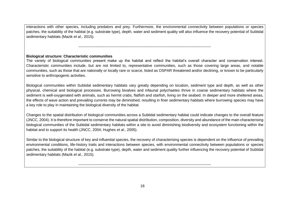interactions with other species, including predators and prey. Furthermore, the environmental connectivity between populations or species patches, the suitability of the habitat (e.g. substrate type), depth, water and sediment quality will also influence the recovery potential of Subtidal sedimentary habitats (Mazik *et al.,* 2015).

-----------------------------------------------------------------------------------------------------------

## <span id="page-16-1"></span>**Biological structure: Characteristic communities**

The variety of biological communities present make up the habitat and reflect the habitat's overall character and conservation interest. Characteristic communities include, but are not limited to, representative communities, such as those covering large areas, and notable communities, such as those that are nationally or locally rare or scarce, listed as OSPAR threatened and/or declining, or known to be particularly sensitive to anthropogenic activities.

Biological communities within Subtidal sedimentary habitats vary greatly depending on location, sediment type and depth, as well as other physical, chemical and biological processes. Burrowing bivalves and infaunal polychaetes thrive in coarse sedimentary habitats where the sediment is well-oxygenated with animals, such as hermit crabs, flatfish and starfish, living on the seabed. In deeper and more sheltered areas, the effects of wave action and prevailing currents may be diminished, resulting in finer sedimentary habitats where burrowing species may have a key role to play in maintaining the biological diversity of the habitat.

Changes to the spatial distribution of biological communities across a Subtidal sedimentary habitat could indicate changes to the overall feature (JNCC, 2004). It is therefore important to conserve the natural spatial distribution, composition, diversity and abundance of the main characterising biological communities of the Subtidal sedimentary habitats within a site to avoid diminishing biodiversity and ecosystem functioning within the habitat and to support its health (JNCC, 2004; Hughes *et al.,* 2005).

<span id="page-16-0"></span>Similar to the biological structure of key and influential species, the recovery of characterising species is dependent on the influence of prevailing environmental conditions, life-history traits and interactions between species, with environmental connectivity between populations or species patches, the suitability of the habitat (e.g. substrate type), depth, water and sediment quality further influencing the recovery potential of Subtidal sedimentary habitats (Mazik *et al.,* 2015).

-----------------------------------------------------------------------------------------------------------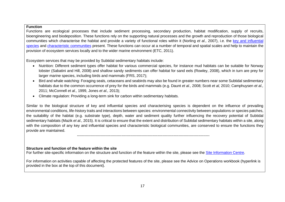#### **Function**

Functions are ecological processes that include sediment processing, secondary production, habitat modification, supply of recruits, bioengineering and biodeposition. These functions rely on the supporting natural processes and the growth and reproduction of those biological communities which characterise the habitat and provide a variety of functional roles within it (Norling *et al.,* 2007), i.e. the [key and influential](#page-15-3)  [species](#page-15-3) and [characteristic communities](#page-16-1) present. These functions can occur at a number of temporal and spatial scales and help to maintain the provision of ecosystem services locally and to the wider marine environment (ETC, 2011).

Ecosystem services that may be provided by Subtidal sedimentary habitats include:

- Nutrition: Different sediment types offer habitat for various commercial species, for instance mud habitats can be suitable for Norway lobster (Sabatini and Hill, 2008) and shallow sandy sediments can offer habitat for sand eels (Rowley, 2008), which in turn are prey for larger marine species, including birds and mammals (FRS, 2017);
- Bird and whale watching: Foraging seals, cetaceans and seabirds may also be found in greater numbers near some Subtidal sedimentary habitats due to the common occurrence of prey for the birds and mammals (e.g. Daunt *et al.,* 2008; Scott *et al,* 2010; Camphuysen *et al.,* 2011; McConnell *et al.,* 1999, Jones *et al.,* 2013);
- Climate regulation: Providing a long-term sink for carbon within sedimentary habitats.

<span id="page-17-0"></span>Similar to the biological structure of key and influential species and characterising species is dependent on the influence of prevailing environmental conditions, life-history traits and interactions between species: environmental connectivity between populations or species patches, the suitability of the habitat (e.g. substrate type), depth, water and sediment quality further influencing the recovery potential of Subtidal sedimentary habitats (Mazik *et al.,* 2015). It is critical to ensure that the extent and distribution of Subtidal sedimentary habitats within a site, along with the composition of any key and influential species and characteristic biological communities, are conserved to ensure the functions they provide are maintained.

-----------------------------------------------------------------------------------------------------------

#### **Structure and function of the feature within the site**

For further site-specific information on the structure and function of the feature within the site, please see the [Site Information Centre.](https://jncc.gov.uk/our-work/south-of-celtic-deep-mpa)

For information on activities capable of affecting the protected features of the site, please see the Advice on Operations workbook (hyperlink is provided in the box at the top of this document).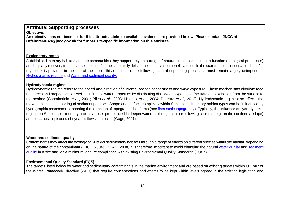# **Attribute: Supporting processes**

# **Objective:**

**An objective has not been set for this attribute. Links to available evidence are provided below. Please contact JNCC at [OffshoreMPAs@jncc.gov.uk](mailto:OffshoreMPAs@jncc.gov.uk) for further site-specific information on this attribute.**

# **Explanatory notes**

Subtidal sedimentary habitats and the communities they support rely on a range of natural processes to support function (ecological processes) and help any recovery from adverse impacts. For the site to fully deliver the conservation benefits set out in the statement on conservation benefits (hyperlink is provided in the box at the top of this document), the following natural supporting processes must remain largely unimpeded - [Hydrodynamic regime](#page-18-3) and [Water and sediment quality.](#page-18-4)

# <span id="page-18-3"></span>**Hydrodynamic regime**

<span id="page-18-0"></span>Hydrodynamic regime refers to the speed and direction of currents, seabed shear stress and wave exposure. These mechanisms circulate food resources and propagules, as well as influence water properties by distributing dissolved oxygen, and facilitate gas exchange from the surface to the seabed (Chamberlain *et al.,* 2001; Biles *et al.,* 2003; Hiscock *et al.,* 2004; Dutertre *et al.,* 2012). Hydrodynamic regime also effects the movement, size and sorting of sediment particles. Shape and surface complexity within Subtidal sedimentary habitat types can be influenced by hydrographic processes, supporting the formation of topographic bedforms (see [finer scale topography\)](#page-14-2). Typically, the influence of hydrodynamic regime on Subtidal sedimentary habitats is less pronounced in deeper waters, although contour-following currents (e.g. on the continental slope) and occasional episodes of dynamic flows can occur (Gage, 2001).

# <span id="page-18-4"></span>**Water and sediment quality**

Contaminants may affect the ecology of Subtidal sedimentary habitats through a range of effects on different species within the habitat, depending on the nature of the contaminant (JNCC, 2004; UKTAG, 2008) It is therefore important to avoid changing the natural [water quality](#page-19-1) and [sediment](#page-20-1)  [quality](#page-20-1) in a site and, as a minimum, ensure compliance with existing Environmental Quality Standards (EQSs).

-----------------------------------------------------------------------------------------------------------

# **Environmental Quality Standard (EQS)**

<span id="page-18-2"></span><span id="page-18-1"></span>The targets listed below for water and sedimentary contaminants in the marine environment and are based on existing targets within OSPAR or the Water Framework Directive (WFD) that require concentrations and effects to be kept within levels agreed in the existing legislation and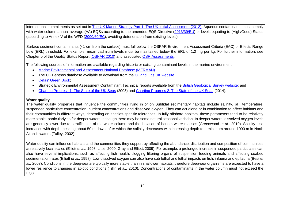international commitments as set out in [The UK Marine Strategy Part 1: The UK Initial Assessment \(2012\).](https://www.gov.uk/government/uploads/system/uploads/attachment_data/file/69632/pb13860-marine-strategy-part1-20121220.pdf) Aqueous contaminants must comply with water column annual average (AA) EQSs according to the amended EQS Directive [\(2013/39/EU\)](http://eur-lex.europa.eu/LexUriServ/LexUriServ.do?uri=OJ:L:2013:226:0001:0017:EN:PDF) or levels equating to (High/Good) Status (according to Annex V of the WFD [\(2000/60/EC\)](http://eur-lex.europa.eu/legal-content/EN/TXT/?uri=CELEX:02000L0060-20141120), avoiding deterioration from existing levels).

Surface sediment contaminants (<1 cm from the surface) must fall below the OSPAR Environment Assessment Criteria (EAC) or Effects Range Low (ERL) threshold. For example, mean cadmium levels must be maintained below the ERL of 1.2 mg per kg. For further information, see Chapter 5 of the Quality Status Report [\(OSPAR 2010\)](http://qsr2010.ospar.org/en/index.html) and associated [QSR Assessments.](http://qsr2010.ospar.org/media/assessments/p00390_2009_CEMP_assessment_report.pdf)

The following sources of information are available regarding historic or existing contaminant levels in the marine environment:

- [Marine Environmental and Assessment National Database \(MERMAN\)](http://www.bodc.ac.uk/projects/uk/merman/project_overview/)
- The UK Benthos database available to download from the [Oil and Gas UK website;](http://oilandgasuk.co.uk/environment-resources.cfm)
- [Cefas' Green Book;](https://www.cefas.co.uk/publications/greenbook/greenbookv15.pdf)
- Strategic Environmental Assessment Contaminant Technical reports available from the [British Geological Survey website;](http://www.bgs.ac.uk/data/sea/) and
- Charting Progress [1: The State of the UK Seas](http://webarchive.nationalarchives.gov.uk/20141203174606/http:/chartingprogress.defra.gov.uk/charting-progress2005) (2005) and [Charting Progress 2: The State of the UK Seas](http://webarchive.nationalarchives.gov.uk/20141203170558/http:/chartingprogress.defra.gov.uk/) (2014).

# <span id="page-19-1"></span>**Water quality**

The water quality properties that influence the communities living in or on Subtidal sedimentary habitats include salinity, pH, temperature, suspended particulate concentration, nutrient concentrations and dissolved oxygen. They can act alone or in combination to affect habitats and their communities in different ways, depending on species-specific tolerances. In fully offshore habitats, these parameters tend to be relatively more stable, particularly so for deeper waters, although there may be some natural seasonal variation. In deeper waters, dissolved oxygen levels are generally lower due to stratification of the water column and the isolation of bottom water masses (Greenwood *et al.,* 2010). Salinity also increases with depth, peaking about 50 m down, after which the salinity decreases with increasing depth to a minimum around 1000 m in North Atlantic waters (Talley, 2002).

<span id="page-19-0"></span>Water quality can influence habitats and the communities they support by affecting the abundance, distribution and composition of communities at relatively local scales (Elliott *et al.,* 1998; Little, 2000; Gray and Elliott, 2009). For example, a prolonged increase in suspended particulates can also have several implications, such as affecting fish health, clogging filtering organs of suspension feeding animals and affecting seabed sedimentation rates (Elliott *et al.,* 1998). Low dissolved oxygen can also have sub-lethal and lethal impacts on fish, infauna and epifauna (Best *et al.,* 2007). Conditions in the deep-sea are typically more stable than in shallower habitats, therefore deep-sea organisms are expected to have a lower resilience to changes in abiotic conditions (Tillin *et al.,* 2010). Concentrations of contaminants in the water column must not exceed the EQS.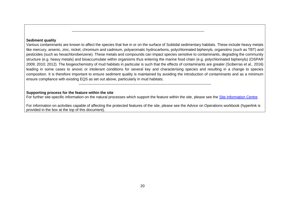#### <span id="page-20-1"></span>**Sediment quality**

Various contaminants are known to affect the species that live in or on the surface of Subtidal sedimentary habitats. These include heavy metals like mercury, arsenic, zinc, nickel, chromium and cadmium, polyaromatic hydrocarbons, polychlorinated biphenyls, organotins (such as TBT) and pesticides (such as hexachlorobenzene). These metals and compounds can impact species sensitive to contaminants, degrading the community structure (e.g. heavy metals) and bioaccumulate within organisms thus entering the marine food chain (e.g. polychlorinated biphenyls) (OSPAR 2009; 2010; 2012). The biogeochemistry of mud habitats in particular is such that the effects of contaminants are greater (Sciberras *et al.,* 2016) leading in some cases to anoxic or intolerant conditions for several key and characterising species and resulting in a change to species composition. It is therefore important to ensure sediment quality is maintained by avoiding the introduction of contaminants and as a minimum ensure compliance with existing EQS as set out above, particularly in mud habitats.

-----------------------------------------------------------------------------------------------------------

-----------------------------------------------------------------------------------------------------------

#### **Supporting process for the feature within the site**

For further site-specific information on the natural processes which support the feature within the site, please see the [Site Information Centre.](https://jncc.gov.uk/our-work/south-of-celtic-deep-mpa)

<span id="page-20-0"></span>For information on activities capable of affecting the protected features of the site, please see the Advice on Operations workbook (hyperlink is provided in the box at the top of this document).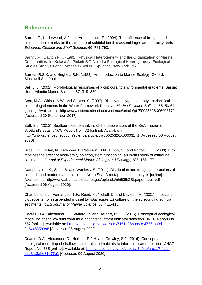# <span id="page-21-0"></span>**References**

Barros, F., Underwood, A.J. and Archambault, P. (2004). The Influence of troughs and crests of ripple marks on the structure of subtidal benthic assemblages around rocky reefs. *Estuarine, Coastal and Shelf Science*, 60: 781-790.

Barry J.P., Dayton P.K. (1991). Physical Heterogeneity and the Organization of Marine Communities. In: Kolasa J., Pickett S.T.A. (eds) Ecological Heterogeneity. Ecological Studies (Analysis and Synthesis), vol 86. Springer, New York, NY.

Barnes, R.S.K. and Hughes, R.N. (1982). An Introduction to Marine Ecology. Oxford: Blackwell Sci. Publ.

Bell, J. J. (2002). Morphological responses of a cup coral to environmental gradients. Sarsia: North Atlantic Marine Science, 87: 319–330.

Best, M.A., Wither, A.W. and Coates, S. (2007). Dissolved oxygen as a physicochemical supporting elements in the Water Framework Directive. *Marine Pollution Bulletin*, 55: 53-64 [online]. Available at: http://www.sciencedirect.com/science/article/pii/S0025326X06003171 [Accessed 20 September 2017].

Bett, B.J. (2012). Seafloor biotope analysis of the deep waters of the SEA4 region of Scotland's seas. JNCC Report No. 472 [online]. Available at: http://www.sciencedirect.com/science/article/pii/S0025326X06003171 [Accessed 06 August 2020].

Biles, C.L., Solan, M., Isaksson, I., Paterson, D.M., Emes, C., and Raffaelli, G., (2003). Flow modifies the effect of biodiversity on ecosystem functioning: an in-situ study of estuarine sediments. *Journal of Experimental Marine Biology and Ecology*, 285: 165-177.

Camphuysen, K., Scott, B. and Wanless, S. (2011). Distribution and foraging interactions of seabirds and marine mammals in the North Sea: A metapopulation analysis [online]. Available at: http://www.abdn.ac.uk/staffpages/uploads/nhi635/ZSLpaper-kees.pdf [Accessed 06 August 2020].

Chamberlain, J., Fernandes, T.F., Read, P., Nickell, D. and Davies, I.M. (2001). Impacts of biodeposits from suspended mussel (*Mytilus edulis* L.) culture on the surrounding surficial sediments. *ICES Journal of Marine Science*, 58: 411-416.

Coates, D.A., Alexander, D., Stafford, R. and Herbert, R.J.H. (2015). Conceptual ecological modelling of shallow sublittoral mud habitats to inform indicator selection. JNCC Report No. 557 [online]. Available at: [https://hub.jncc.gov.uk/assets/7151a86b-ddcc-4756-aa3d-](https://hub.jncc.gov.uk/assets/7151a86b-ddcc-4756-aa3d-0c5446859398)[0c5446859398](https://hub.jncc.gov.uk/assets/7151a86b-ddcc-4756-aa3d-0c5446859398) [Accessed 06 August 2020].

Coates, D.A., Alexander, D., Herbert, R.J.H. and Crowley, S.J. (2016). Conceptual ecological modelling of shallow sublittoral sand habitats to inform indicator selection. JNCC Report No. 585 [online]. Available at: [https://hub.jncc.gov.uk/assets/f3d0abfa-c117-4afc](https://hub.jncc.gov.uk/assets/f3d0abfa-c117-4afc-aab8-13abe31e77b1)[aab8-13abe31e77b1](https://hub.jncc.gov.uk/assets/f3d0abfa-c117-4afc-aab8-13abe31e77b1) [Accessed 06 August 2020].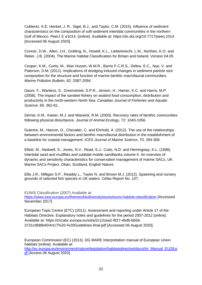Coblentz, K.E, Henkel, J. R., Sigel, B.J., and Taylor, C.M. (2015). Influence of sediment characteristics on the composition of soft-sediment intertidal communities in the northern Gulf of Mexico. PeerJ 3: e1014. [online]. Available at: https://dx.doi.org/10.7717/peerj.1014 [Accessed 06 August 2020].

Connor, D.W., Allen, J.H., Golding, N., Howell, K.L., Lieberknecht, L.M., Northen, K.O. and Reker, J.B. (2004). The Marine Habitat Classification for Britain and Ireland, Version 04.05

Cooper, K.M., Curtis, M., Wan Hussin, W.M.R., Barrio F.C.R.S., Defew, E.C., Nye, V. and Paterson, D.M. (2011). Implications of dredging induced changes in sediment particle size composition for the structure and function of marine benthic macrofaunal communities. *Marine Pollution Bulletin*, 62: 2087-2094.

Daunt, F., Wanless, S., Greenstreet, S.P.R., Jensen, H., Hamer, K.C. and Harris, M,P. (2008). The impact of the sandeel fishery on seabird food consumption, distribution and productivity in the north-western North Sea. *Canadian Journal of Fisheries and Aquatic Science*, 65: 362-81.

Dernie, K.M., Kaiser, M.J. and Warwick, R.M. (2003). Recovery rates of benthic communities following physical disturbance. *Journal of Animal Ecology*, 72: 1043-1056.

Dutertre, M., Hamon, D., Chevalier, C. and Ehrhold, A. (2012). The use of the relationships between environmental factors and benthic macrofaunal distribution in the establishment of a baseline for coastal management. *ICES Journal of Marine Science*, 70: 294-308.

Elliott, M., Nedwell, S., Jones, N.V., Read, S.J., Cutts, N.D. and Hemingway, K.L. (1998). Intertidal sand and mudflats and subtidal mobile sandbanks volume II. An overview of dynamic and sensitivity characteristics for conservation management of marine SACs. UK Marine SACs Project. Oban, Scotland, English Nature.

Ellis J.R., Milligan S.P., Readdy L., Taylor N. and Brown M.J. (2012). Spawning and nursery grounds of selected fish species in UK waters. Cefas Report No. 147.

EUNIS Classification (2007) Available at:

<https://www.eea.europa.eu/themes/biodiversity/eunis/eunis-habitat-classification> [Accessed November 2017]

European Topic Centre (ETC) (2011). Assessment and reporting under Article 17 of the Habitats Directive. Explanatory notes and guidelines for the period 2007-2012 [online]. Available at: https://circabc.europa.eu/sd/a/2c12cea2-f827-4bdb-bb56- 3731c9fd8b40/Art17%20-%20Guidelines-final.pdf [Accessed 06 August 2020].

European Commission (EC) (2013). DG MARE Interpretation manual of European Union habitats [online]. Available at:

[http://ec.europa.eu/environment/nature/legislation/habitatsdirective/docs/Int\\_Manual\\_EU28.p](http://ec.europa.eu/environment/nature/legislation/habitatsdirective/docs/Int_Manual_EU28.pdf) [df](http://ec.europa.eu/environment/nature/legislation/habitatsdirective/docs/Int_Manual_EU28.pdf) [Access 06 August 2020].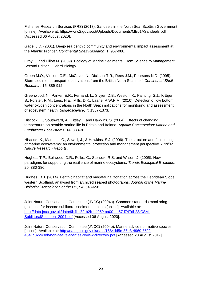Fisheries Research Services (FRS) (2017). Sandeels in the North Sea. Scottish Government [online]. Available at: https://www2.gov.scot/Uploads/Documents/ME01ASandeels.pdf [Accessed 06 August 2020].

Gage, J.D. (2001). Deep-sea benthic community and environmental impact assessment at the Atlantic Frontier. *Continental Shelf Research*, 1: 957-986.

Gray, J. and Elliott M. (2009). Ecology of Marine Sediments: From Science to Management, Second Edition, Oxford Biology.

Green M.O., Vincent C.E., McCave I.N., Dickson R.R., Rees J.M., Pearsons N.D. (1995). Storm sediment transport: observations from the British North Sea shelf. *Continental Shelf Research,* 15: 889-912

Greenwood, N., Parker, E.R., Fernand, L., Sivyer, D.B., Weston, K., Painting, S.J., Kröger, S., Forster, R.M., Lees, H.E., Mills, D.K., Laane, R.W.P.M. (2010). Detection of low bottom water oxygen concentrations in the North Sea; implications for monitoring and assessment of ecosystem health. *Biogeoscience*, 7: 1357-1373.

Hiscock, K., Southward, A., Tittley, I. and Hawkins, S. (2004). Effects of changing temperature on benthic marine life in Britain and Ireland. *Aquatic Conservation: Marine and Freshwater Ecosystems*, 14: 333-362

Hiscock, K., Marshall, C., Sewell, J., & Hawkins, S.J. (2006). The structure and functioning of marine ecosystems: an environmental protection and management perspective. *English Nature Research Reports*.

Hughes, T.P., Bellwood, D.R., Folke, C., Steneck, R.S. and Wilson, J. (2005). New paradigms for supporting the resilience of marine ecosystems. *Trends Ecological Evolution*, 20: 380-386.

Hughes, D.J. (2014). Benthic habitat and megafaunal zonation across the Hebridean Slope, western Scotland, analysed from archived seabed photographs. *Journal of the Marine Biological Association of the UK*, 94: 643-658.

Joint Nature Conservation Committee (JNCC) (2004a). Common standards monitoring guidance for inshore sublittoral sediment habitats [online]. Available at: [http://data.jncc.gov.uk/data/9b4bff32-b2b1-4059-aa00-bb57d747db23/CSM-](http://data.jncc.gov.uk/data/9b4bff32-b2b1-4059-aa00-bb57d747db23/CSM-SublittoralSediment-2004.pdf)[SublittoralSediment-2004.pdf](http://data.jncc.gov.uk/data/9b4bff32-b2b1-4059-aa00-bb57d747db23/CSM-SublittoralSediment-2004.pdf) [Accessed 06 August 2020].

Joint Nature Conservation Committee (JNCC) (2004b). Marine advice non-native species [online]. Available at: [http://data.jncc.gov.uk/data/1684dd5e-36e3-4969-852f-](http://data.jncc.gov.uk/data/1684dd5e-36e3-4969-852f-4541c82240eb/non-native-species-review-directory.pdf)[4541c82240eb/non-native-species-review-directory.pdf](http://data.jncc.gov.uk/data/1684dd5e-36e3-4969-852f-4541c82240eb/non-native-species-review-directory.pdf) [Accessed 20 August 2017].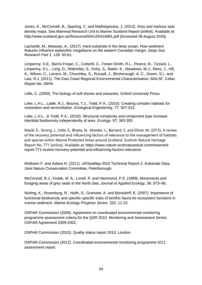Jones, E., McConnell, B., Sparling, C. and Matthiopoulos, J. (2013). Grey and harbour seal density maps. Sea Mammal Research Unit to Marine Scotland Report [online]. Available at: http://www.scotland.gov.uk/Resource/0041/00416981.pdf [Accessed 06 August 2020].

Lacharité, M., Metaxas, A., (2017). Hard substrate in the deep ocean: How sediment features influence epibenthic megafauna on the eastern Canadian margin. *Deep Sea Research Part 1*, 126: 50-61.

Limpenny, S.E., Barrio Frojan, C., Cotterill, C., Foster-Smith, R.L., Pearce, B., Tizzard, L., Limpenny, D.L., Long, D., Walmsley, S., Kirby, S., Baker, K., Meadows, W.J., Rees, J., Hill, K., Wilson, C., Leivers, M., Churchley, S., Russell, J., Birchenough, A. C., Green, S.L. and Law, R.J. (2011). The East Coast Regional Environmental Characterisation. MALSF. Cefas Report No. 08/04.

Little, C. (2000). The biology of soft shores and estuaries, Oxford University Press.

Loke, L.H.L., Ladle, R.J., Bouma, T.J., Todd, P.A., (2015). Creating complex habitats for restoration and reconciliation. *Ecological Engineering*, 77: 307-313.

Loke, L.H.L., & Todd, P.A., (2016). Structural complexity and component type increase intertidal biodiversity independently of area. *Ecology*, 97: 383-393

Mazik, K., Strong, J., Little, S., Bhatia, N., Mander, L., Barnard, S. and Elliott, M. (2015). A review of the recovery potential and influencing factors of relevance to the management of habitats and species within Marine Protected Areas around Scotland. Scottish Natural Heritage Report No. 771 [online]. Available at: https://www.nature.scot/naturescot-commissionedreport-771-review-recovery-potential-and-influencing-factors-relevance

McBreen F. and Askew N. (2011). UKSeaMap 2010 Technical Report 3. Substrate Data. Joint Nature Conservation Committee, Peterborough.

McConnell, B.J., Fedak, M. A., Lovell, P. and Hammond, P.S. (1999). Movements and foraging areas of grey seals in the North Sea. *Journal of Applied Ecology,* 36: 573–90.

Norling, K., Rosenburg, R., Hulth, S., Gremare, A. and Bonsdorff, E. (2007). Importance of functional biodiversity and specific-specific traits of benthic fauna for ecosystem functions in marine sediment. *Marine Ecology Progress Series*, 332: 11-23.

OSPAR Commission (2009). Agreement on coordinated environmental monitoring programme assessment criteria for the QSR 2010. Monitoring and Assessment Series. OSPAR Agreement 2009-2002.

OSPAR Commission (2010). Quality status report 2010. London.

OSPAR Commission (2012). Coordinated environmental monitoring programme 2011 assessment report.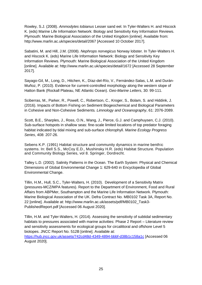Rowley, S.J. (2008). *Ammodytes tobianus* Lesser sand eel. In Tyler-Walters H. and Hiscock K. (eds) Marine Life Information Network: Biology and Sensitivity Key Information Reviews. Plymouth: Marine Biological Association of the United Kingdom [online]. Available from: http://www.marlin.ac.uk/species/detail/2067 [Accessed 10 October 2017].

Sabatini, M. and Hill, J.M. (2008). *Nephrops norvegicus* Norway lobster. In Tyler-Walters H. and Hiscock K. (eds) Marine Life Information Network: Biology and Sensitivity Key Information Reviews. Plymouth: Marine Biological Association of the United Kingdom [online]. Available at: http://www.marlin.ac.uk/species/detail/1672 [Accessed 28 September 2017].

Sayago-Gil, M., Long, D., Hitchen, K., Díaz-del-Río, V., Fernández-Salas, L.M. and Durán-Muñoz, P. (2010). Evidence for current-controlled morphology along the western slope of Hatton Bank (Rockall Plateau, NE Atlantic Ocean). *Geo-Marine Letters*, 30: 99-111.

Sciberras, M., Parker, R., Powell, C., Robertson, C., Kroger, S., Bolam, S. and Hiddink, J. (2016). Impacts of Bottom Fishing on Sediment Biogeochemical and Biological Parameters in Cohesive and Non-Cohesive Sediments*. Limnology and Oceanography*, 61: 2076-2089.

Scott, B.E., Sharples, J., Ross, O.N., Wang, J., Pierce, G.J. and Camphuysen, C.J. (2010). Sub-surface hotspots in shallow seas: fine-scale limited locations of top predator foraging habitat indicated by tidal mixing and sub-surface chlorophyll. *Marine Ecology Progress Series*, 408: 207-26.

Sebens K.P. (1991) Habitat structure and community dynamics in marine benthic systems. In: Bell S.S., McCoy E.D., Mushinsky H.R. (eds) Habitat Structure. Population and Community Biology Series, vol 8. Springer, Dordrecht.

Talley L.D. (2002). Salinity Patterns in the Ocean. The Earth System: Physical and Chemical Dimensions of Global Environmental Change 1: 629-640 in Encyclopedia of Global Environmental Change.

Tillin, H.M., Hull, S.C., Tyler-Walters, H. (2010). Development of a Sensitivity Matrix (pressures-MCZ/MPA features). Report to the Department of Environment, Food and Rural Affairs from ABPMer, Southampton and the Marine Life Information Network. Plymouth: Marine Biological Association of the UK. Defra Contract No. MB0102 Task 3A, Report No. 22 [online]. Available at: http://www.marlin.ac.uk/assets/pdf/MB0102\_Task3- PublishedReport.pdf [Accessed 06 August 2020].

Tillin, H.M. and Tyler-Walters, H. (2014). Assessing the sensitivity of subtidal sedimentary habitats to pressures associated with marine activities: Phase 2 Report – Literature review and sensitivity assessments for ecological groups for circalittoral and offshore Level 5 biotopes. JNCC Report No. 512B [online]. Available at:

<https://hub.jncc.gov.uk/assets/742cd48d-4349-4894-bbbf-d38b1c158a1c> [Accessed 06 August 2020].